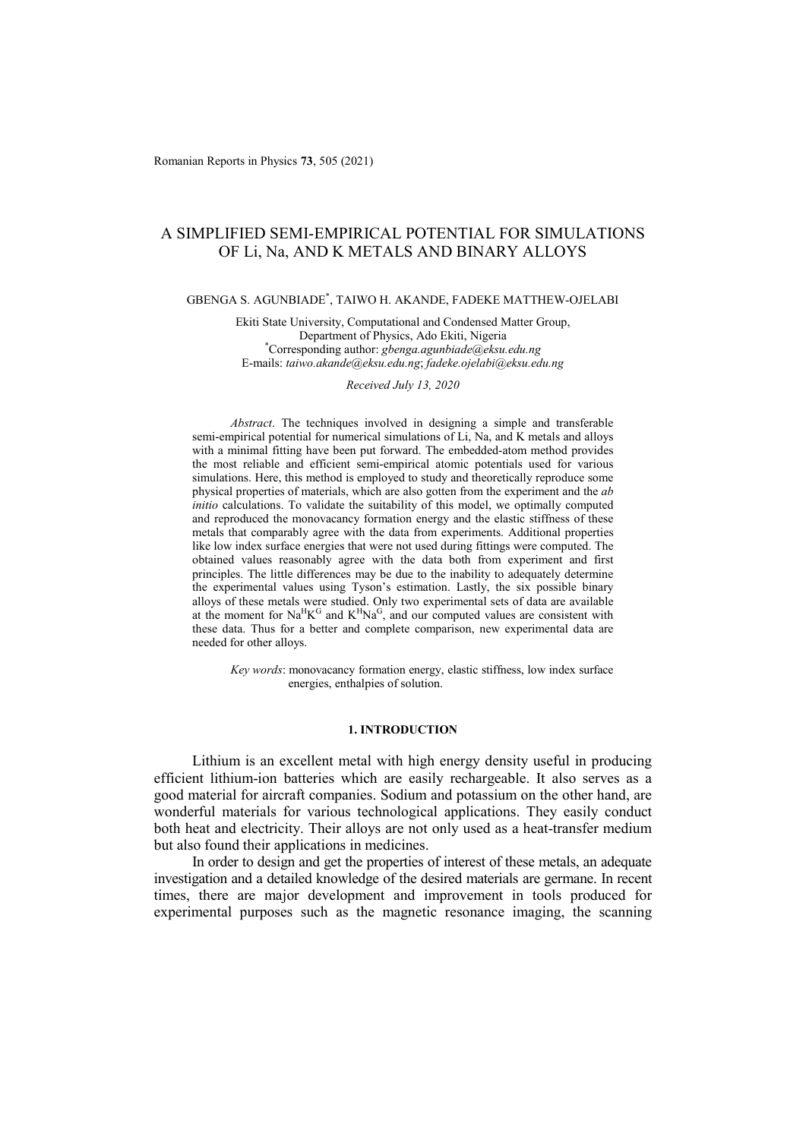# A SIMPLIFIED SEMI-EMPIRICAL POTENTIAL FOR SIMULATIONS OF Li, Na, AND K METALS AND BINARY ALLOYS

# GBENGA S. AGUNBIADE\* , TAIWO H. AKANDE, FADEKE MATTHEW-OJELABI

Ekiti State University, Computational and Condensed Matter Group, Department of Physics, Ado Ekiti, Nigeria \* Corresponding author: *gbenga.agunbiade@eksu.edu.ng* E-mails: *taiwo.akande@eksu.edu.ng*; *fadeke.ojelabi@eksu.edu.ng*

### *Received July 13, 2020*

*Abstract*. The techniques involved in designing a simple and transferable semi-empirical potential for numerical simulations of Li, Na, and K metals and alloys with a minimal fitting have been put forward. The embedded-atom method provides the most reliable and efficient semi-empirical atomic potentials used for various simulations. Here, this method is employed to study and theoretically reproduce some physical properties of materials, which are also gotten from the experiment and the *ab initio* calculations. To validate the suitability of this model, we optimally computed and reproduced the monovacancy formation energy and the elastic stiffness of these metals that comparably agree with the data from experiments. Additional properties like low index surface energies that were not used during fittings were computed. The obtained values reasonably agree with the data both from experiment and first principles. The little differences may be due to the inability to adequately determine the experimental values using Tyson's estimation. Lastly, the six possible binary alloys of these metals were studied. Only two experimental sets of data are available at the moment for  $\text{Na}^H\text{K}^G$  and  $\text{K}^H\text{Na}^G$ , and our computed values are consistent with these data. Thus for a better and complete comparison, new experimental data are needed for other alloys.

*Key words*: monovacancy formation energy, elastic stiffness, low index surface energies, enthalpies of solution.

# **1. INTRODUCTION**

Lithium is an excellent metal with high energy density useful in producing efficient lithium-ion batteries which are easily rechargeable. It also serves as a good material for aircraft companies. Sodium and potassium on the other hand, are wonderful materials for various technological applications. They easily conduct both heat and electricity. Their alloys are not only used as a heat-transfer medium but also found their applications in medicines.

In order to design and get the properties of interest of these metals, an adequate investigation and a detailed knowledge of the desired materials are germane. In recent times, there are major development and improvement in tools produced for experimental purposes such as the magnetic resonance imaging, the scanning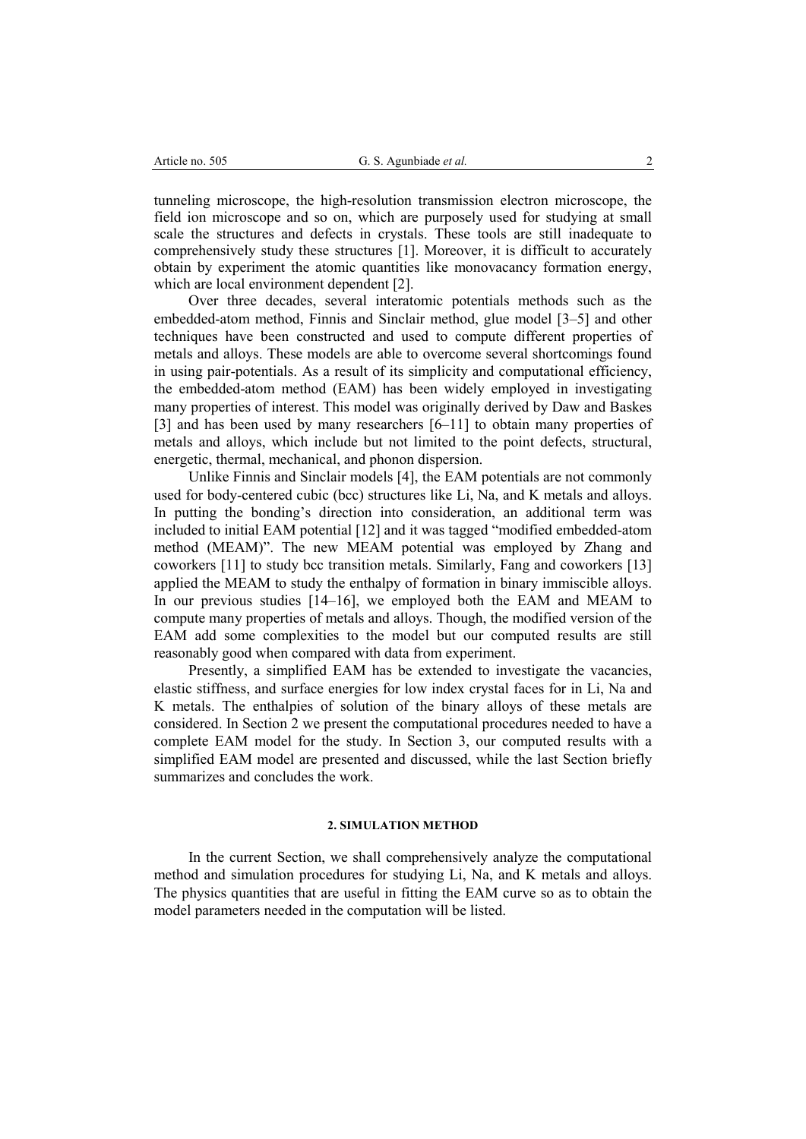tunneling microscope, the high-resolution transmission electron microscope, the field ion microscope and so on, which are purposely used for studying at small scale the structures and defects in crystals. These tools are still inadequate to comprehensively study these structures [1]. Moreover, it is difficult to accurately obtain by experiment the atomic quantities like monovacancy formation energy, which are local environment dependent [2].

Over three decades, several interatomic potentials methods such as the embedded-atom method, Finnis and Sinclair method, glue model [3–5] and other techniques have been constructed and used to compute different properties of metals and alloys. These models are able to overcome several shortcomings found in using pair-potentials. As a result of its simplicity and computational efficiency, the embedded-atom method (EAM) has been widely employed in investigating many properties of interest. This model was originally derived by Daw and Baskes [3] and has been used by many researchers [6–11] to obtain many properties of metals and alloys, which include but not limited to the point defects, structural, energetic, thermal, mechanical, and phonon dispersion.

Unlike Finnis and Sinclair models [4], the EAM potentials are not commonly used for body-centered cubic (bcc) structures like Li, Na, and K metals and alloys. In putting the bonding's direction into consideration, an additional term was included to initial EAM potential [12] and it was tagged "modified embedded-atom method (MEAM)". The new MEAM potential was employed by Zhang and coworkers [11] to study bcc transition metals. Similarly, Fang and coworkers [13] applied the MEAM to study the enthalpy of formation in binary immiscible alloys. In our previous studies [14–16], we employed both the EAM and MEAM to compute many properties of metals and alloys. Though, the modified version of the EAM add some complexities to the model but our computed results are still reasonably good when compared with data from experiment.

Presently, a simplified EAM has be extended to investigate the vacancies, elastic stiffness, and surface energies for low index crystal faces for in Li, Na and K metals. The enthalpies of solution of the binary alloys of these metals are considered. In Section 2 we present the computational procedures needed to have a complete EAM model for the study. In Section 3, our computed results with a simplified EAM model are presented and discussed, while the last Section briefly summarizes and concludes the work.

# **2. SIMULATION METHOD**

In the current Section, we shall comprehensively analyze the computational method and simulation procedures for studying Li, Na, and K metals and alloys. The physics quantities that are useful in fitting the EAM curve so as to obtain the model parameters needed in the computation will be listed.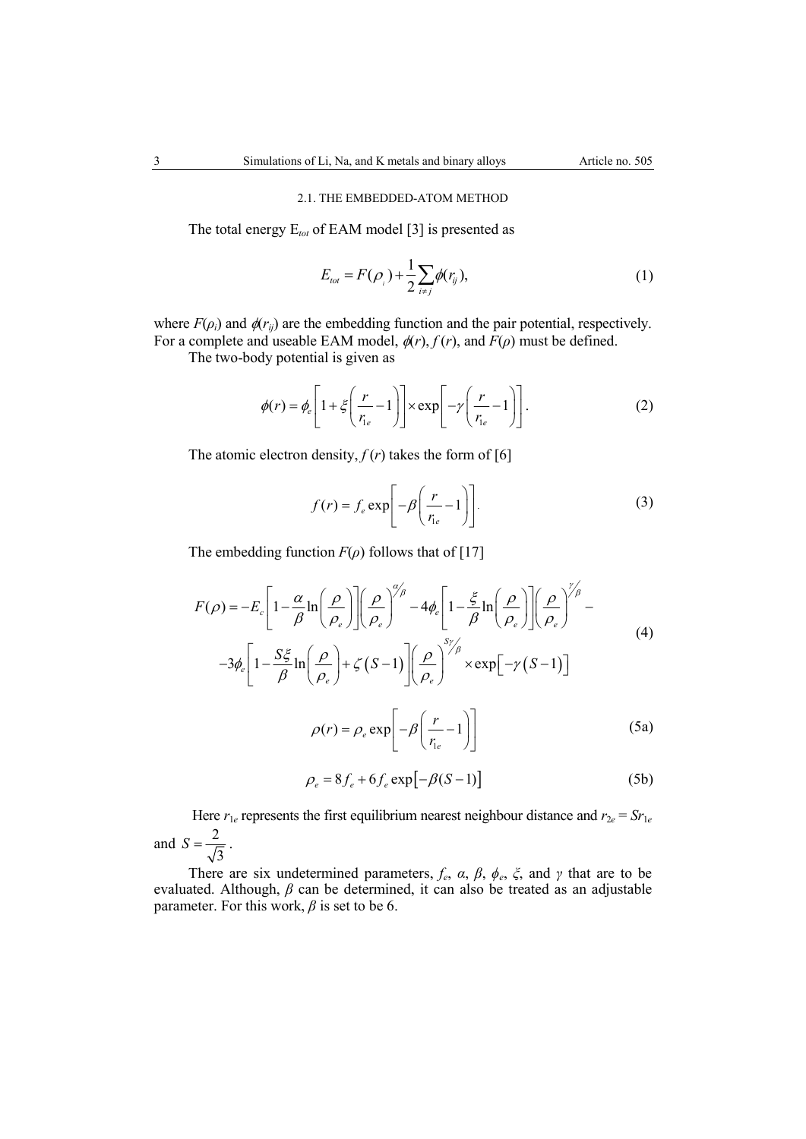# 2.1. THE EMBEDDED-ATOM METHOD

The total energy E*tot* of EAM model [3] is presented as

$$
E_{tot} = F(\rho_i) + \frac{1}{2} \sum_{i \neq j} \phi(r_{ij}),
$$
 (1)

where  $F(\rho_i)$  and  $\phi(r_{ij})$  are the embedding function and the pair potential, respectively. For a complete and useable EAM model,  $\phi(r)$ ,  $f(r)$ , and  $F(\rho)$  must be defined.

The two-body potential is given as

$$
\phi(r) = \phi_e \left[ 1 + \xi \left( \frac{r}{r_{ie}} - 1 \right) \right] \times \exp \left[ -\gamma \left( \frac{r}{r_{ie}} - 1 \right) \right]. \tag{2}
$$

The atomic electron density,  $f(r)$  takes the form of [6]

$$
f(r) = f_e \exp\left[-\beta \left(\frac{r}{r_{le}} - 1\right)\right].
$$
 (3)

The embedding function  $F(\rho)$  follows that of [17]

$$
F(\rho) = -E_c \left[ 1 - \frac{\alpha}{\beta} \ln \left( \frac{\rho}{\rho_e} \right) \right] \left( \frac{\rho}{\rho_e} \right)^{\alpha/\beta} - 4\phi_e \left[ 1 - \frac{\xi}{\beta} \ln \left( \frac{\rho}{\rho_e} \right) \right] \left( \frac{\rho}{\rho_e} \right)^{\gamma/\beta} -
$$
  

$$
-3\phi_e \left[ 1 - \frac{S\xi}{\beta} \ln \left( \frac{\rho}{\rho_e} \right) + \zeta (S - 1) \right] \left( \frac{\rho}{\rho_e} \right)^{S/\beta} \times \exp \left[ -\gamma (S - 1) \right]
$$
  

$$
\rho(r) = \rho_e \exp \left[ -\beta \left( \frac{r}{r_{ie}} - 1 \right) \right]
$$
(5a)

$$
\rho_e = 8f_e + 6f_e \exp[-\beta(S-1)]
$$
 (5b)

Here  $r_{1e}$  represents the first equilibrium nearest neighbour distance and  $r_{2e} = Sr_{1e}$ and  $S = \frac{2}{r}$ 3  $S=\frac{2}{\sqrt{2}}$ .

There are six undetermined parameters,  $f_e$ ,  $\alpha$ ,  $\beta$ ,  $\phi_e$ ,  $\zeta$ , and  $\gamma$  that are to be evaluated. Although, *β* can be determined, it can also be treated as an adjustable parameter. For this work,  $\beta$  is set to be 6.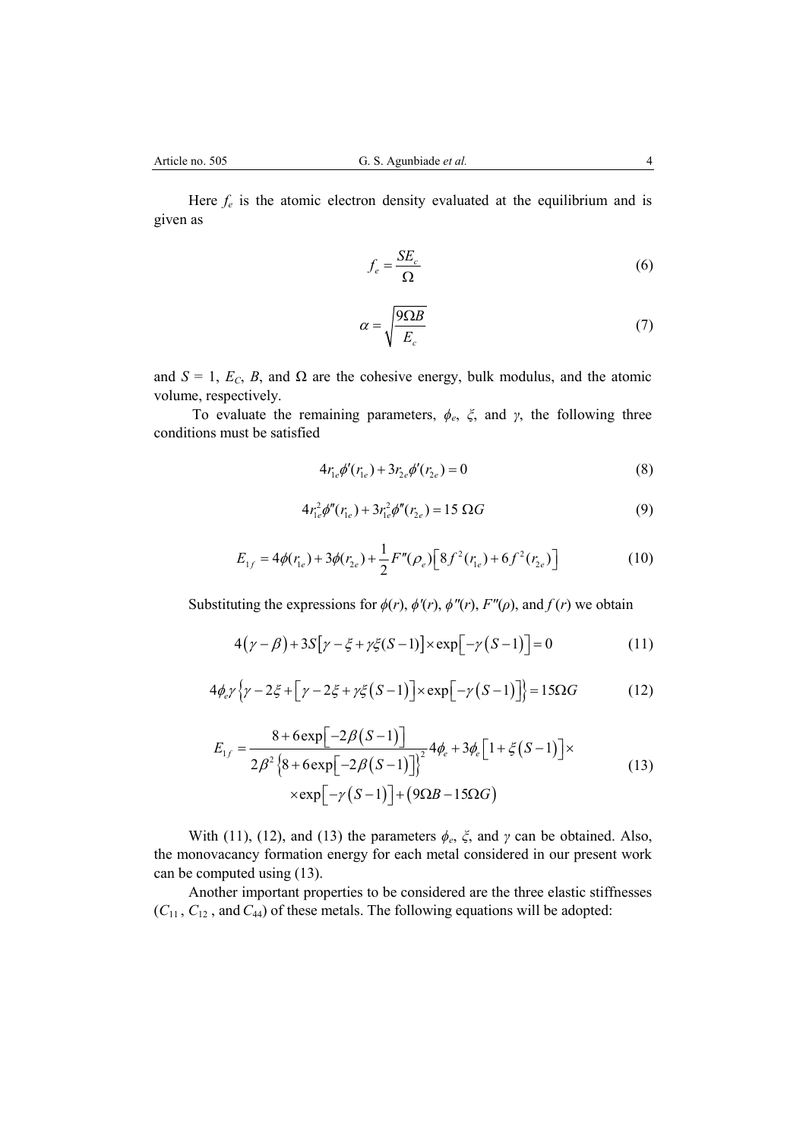Here  $f_e$  is the atomic electron density evaluated at the equilibrium and is given as

$$
f_e = \frac{SE_c}{\Omega} \tag{6}
$$

$$
\alpha = \sqrt{\frac{9\Omega B}{E_c}}\tag{7}
$$

and  $S = 1$ ,  $E_C$ ,  $B$ , and  $\Omega$  are the cohesive energy, bulk modulus, and the atomic volume, respectively.

To evaluate the remaining parameters, *ϕe*, *ξ*, and *γ*, the following three conditions must be satisfied

$$
4r_{1e}\phi'(r_{1e}) + 3r_{2e}\phi'(r_{2e}) = 0
$$
\n(8)

$$
4r_{1e}^2\phi''(r_{1e}) + 3r_{1e}^2\phi''(r_{2e}) = 15 \Omega G \tag{9}
$$

$$
E_{1f} = 4\phi(r_{1e}) + 3\phi(r_{2e}) + \frac{1}{2}F''(\rho_e) \left[8f^2(r_{1e}) + 6f^2(r_{2e})\right]
$$
 (10)

Substituting the expressions for  $\phi(r)$ ,  $\phi''(r)$ ,  $\phi''(r)$ ,  $F''(\rho)$ , and  $f(r)$  we obtain

$$
4(\gamma - \beta) + 3S[\gamma - \xi + \gamma \xi(S-1)] \times \exp[-\gamma (S-1)] = 0
$$
 (11)

$$
4\phi_e \gamma \left\{ \gamma - 2\xi + \left[ \gamma - 2\xi + \gamma \xi (S - 1) \right] \times \exp\left[ -\gamma (S - 1) \right] \right\} = 15\Omega G \tag{12}
$$

$$
E_{1f} = \frac{8 + 6 \exp[-2\beta(S-1)]}{2\beta^2 \left\{8 + 6 \exp[-2\beta(S-1)]\right\}^2} 4\phi_e + 3\phi_e \left[1 + \xi(S-1)\right] \times \exp[-\gamma(S-1)] + (9\Omega B - 15\Omega G)
$$
\n(13)

With (11), (12), and (13) the parameters  $\phi_e$ ,  $\xi$ , and  $\gamma$  can be obtained. Also, the monovacancy formation energy for each metal considered in our present work can be computed using (13).

Another important properties to be considered are the three elastic stiffnesses (*C*11 , *C*12 , and*C*44) of these metals. The following equations will be adopted: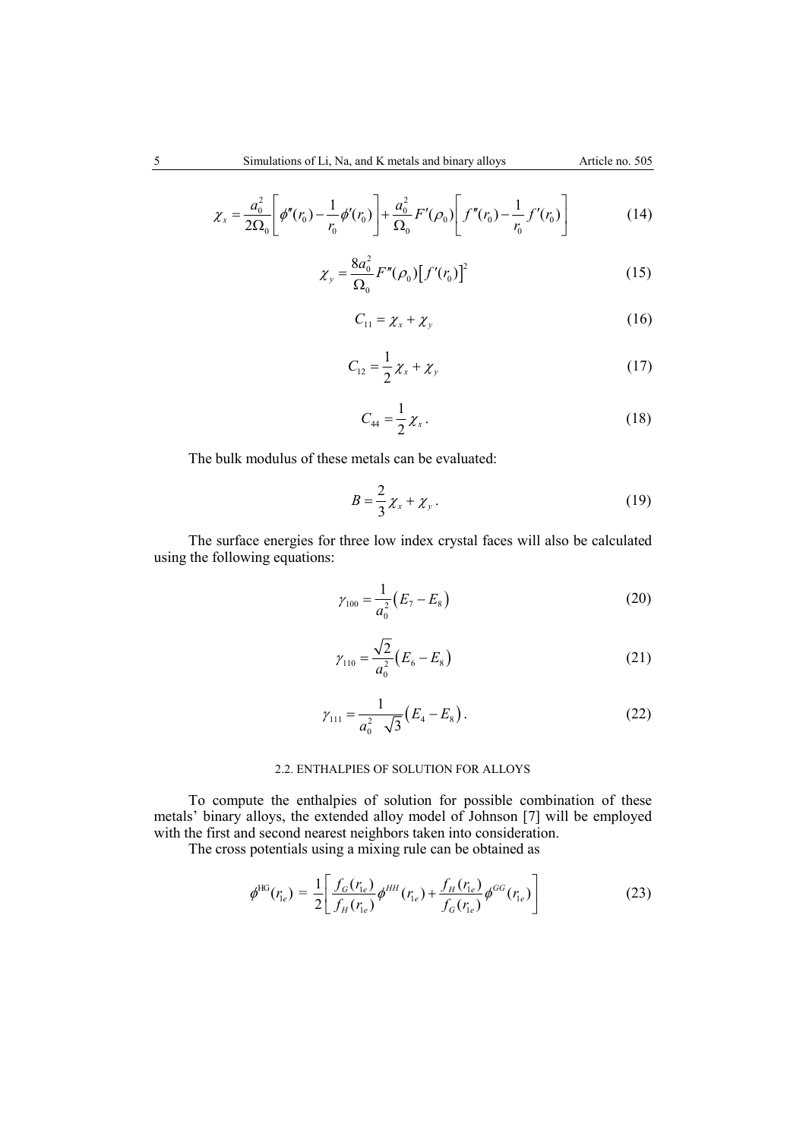$$
\chi_{x} = \frac{a_{0}^{2}}{2\Omega_{0}} \left[ \phi''(r_{0}) - \frac{1}{r_{0}} \phi'(r_{0}) \right] + \frac{a_{0}^{2}}{\Omega_{0}} F'(\rho_{0}) \left[ f''(r_{0}) - \frac{1}{r_{0}} f'(r_{0}) \right]
$$
(14)

$$
\chi_{y} = \frac{8a_0^2}{\Omega_0} F''(\rho_0) [f'(r_0)]^2
$$
 (15)

$$
C_{11} = \chi_x + \chi_y \tag{16}
$$

$$
C_{12} = \frac{1}{2} \chi_x + \chi_y \tag{17}
$$

$$
C_{44} = \frac{1}{2} \chi_x \,. \tag{18}
$$

The bulk modulus of these metals can be evaluated:

$$
B = \frac{2}{3}\chi_x + \chi_y \,. \tag{19}
$$

The surface energies for three low index crystal faces will also be calculated using the following equations:

$$
\gamma_{100} = \frac{1}{a_0^2} (E_7 - E_8)
$$
\n(20)

$$
\gamma_{110} = \frac{\sqrt{2}}{a_0^2} (E_6 - E_8)
$$
\n(21)

$$
\gamma_{111} = \frac{1}{a_0^2} \sqrt{3} (E_4 - E_8).
$$
 (22)

# 2.2. ENTHALPIES OF SOLUTION FOR ALLOYS

To compute the enthalpies of solution for possible combination of these metals' binary alloys, the extended alloy model of Johnson [7] will be employed with the first and second nearest neighbors taken into consideration.

The cross potentials using a mixing rule can be obtained as

$$
\phi^{\text{HG}}(r_{\text{Ie}}) = \frac{1}{2} \left[ \frac{f_G(r_{\text{Ie}})}{f_H(r_{\text{Ie}})} \phi^{\text{HH}}(r_{\text{Ie}}) + \frac{f_H(r_{\text{Ie}})}{f_G(r_{\text{Ie}})} \phi^{\text{GG}}(r_{\text{Ie}}) \right]
$$
(23)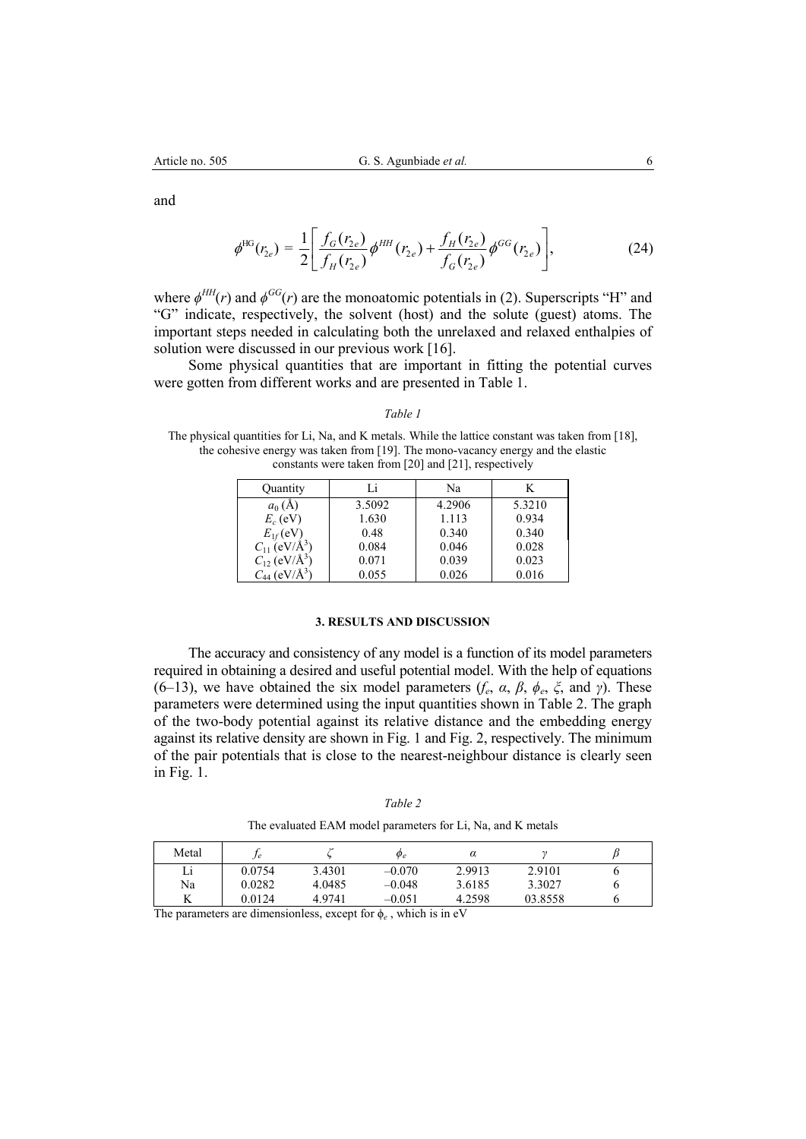and

$$
\phi^{\text{HG}}(r_{2e}) = \frac{1}{2} \left[ \frac{f_G(r_{2e})}{f_H(r_{2e})} \phi^{\text{HH}}(r_{2e}) + \frac{f_H(r_{2e})}{f_G(r_{2e})} \phi^{\text{GG}}(r_{2e}) \right],
$$
(24)

where  $\phi^{HH}(r)$  and  $\phi^{GG}(r)$  are the monoatomic potentials in (2). Superscripts "H" and "G" indicate, respectively, the solvent (host) and the solute (guest) atoms. The important steps needed in calculating both the unrelaxed and relaxed enthalpies of solution were discussed in our previous work [16].

Some physical quantities that are important in fitting the potential curves were gotten from different works and are presented in Table 1.

*Table 1* 

The physical quantities for Li, Na, and K metals. While the lattice constant was taken from [18], the cohesive energy was taken from [19]. The mono-vacancy energy and the elastic constants were taken from [20] and [21], respectively

| Quantity                       | Li     | Na     | K      |
|--------------------------------|--------|--------|--------|
| $a_0(A)$                       | 3.5092 | 4.2906 | 5.3210 |
| $E_c$ (eV)                     | 1.630  | 1.113  | 0.934  |
| $E_{1f}$ (eV)                  | 0.48   | 0.340  | 0.340  |
| $C_{11}$ (eV/Å <sup>3</sup> )  | 0.084  | 0.046  | 0.028  |
| $C_{12}$ (eV/ $\rm{\AA}^{3}$ ) | 0.071  | 0.039  | 0.023  |
| $C_{44}$ (eV/Å <sup>3</sup> )  | 0.055  | 0.026  | 0.016  |

# **3. RESULTS AND DISCUSSION**

The accuracy and consistency of any model is a function of its model parameters required in obtaining a desired and useful potential model. With the help of equations (6–13), we have obtained the six model parameters  $(f_e, \alpha, \beta, \phi_e, \xi, \text{ and } \gamma)$ . These parameters were determined using the input quantities shown in Table 2. The graph of the two-body potential against its relative distance and the embedding energy against its relative density are shown in Fig. 1 and Fig. 2, respectively. The minimum of the pair potentials that is close to the nearest-neighbour distance is clearly seen in Fig. 1.

*Table 2*  The evaluated EAM model parameters for Li, Na, and K metals

| Metal | .J e   |        | $\varphi_e$ | α      |         |  |
|-------|--------|--------|-------------|--------|---------|--|
| Li    | 0.0754 | 3.4301 | $-0.070$    | 2.9913 | 2.9101  |  |
| Na    | 0.0282 | 4.0485 | $-0.048$    | 3.6185 | 3.3027  |  |
| A     | 0.0124 | 4.9741 | $-0.051$    | 4.2598 | 03.8558 |  |

The parameters are dimensionless, except for  $\phi_e$ , which is in eV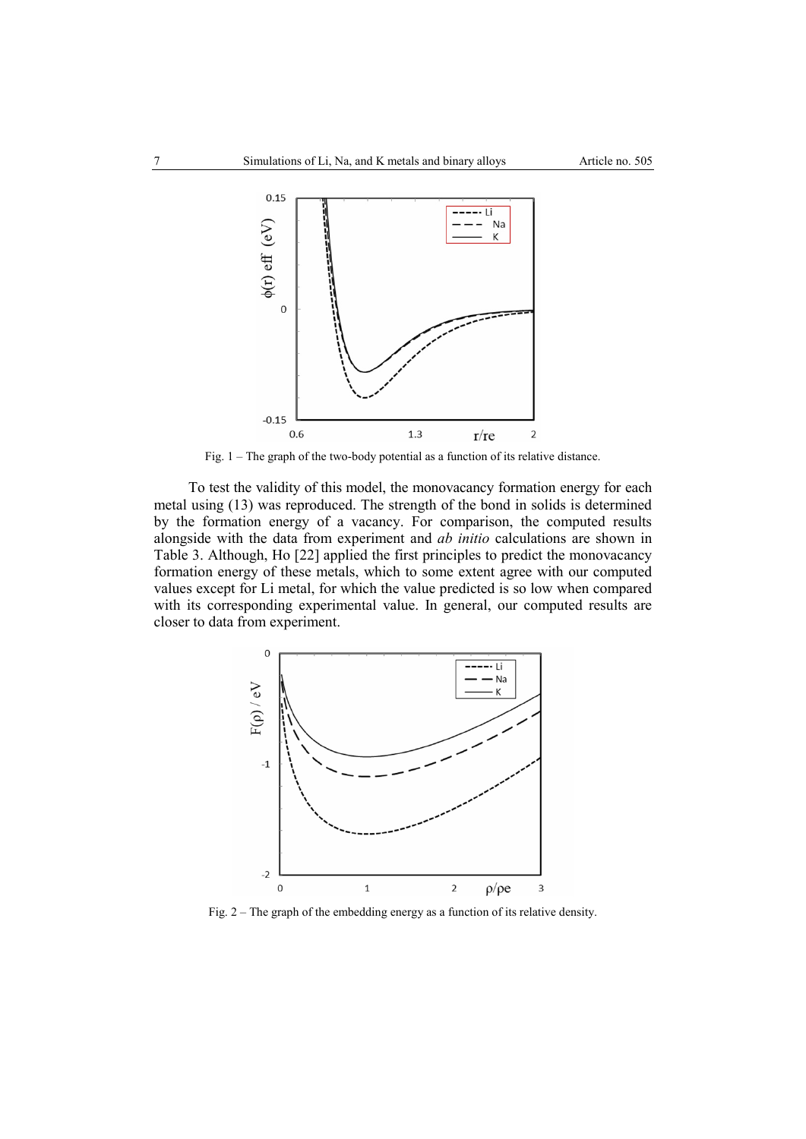

Fig. 1 – The graph of the two-body potential as a function of its relative distance.

To test the validity of this model, the monovacancy formation energy for each metal using (13) was reproduced. The strength of the bond in solids is determined by the formation energy of a vacancy. For comparison, the computed results alongside with the data from experiment and *ab initio* calculations are shown in Table 3. Although, Ho [22] applied the first principles to predict the monovacancy formation energy of these metals, which to some extent agree with our computed values except for Li metal, for which the value predicted is so low when compared with its corresponding experimental value. In general, our computed results are closer to data from experiment.



Fig. 2 – The graph of the embedding energy as a function of its relative density.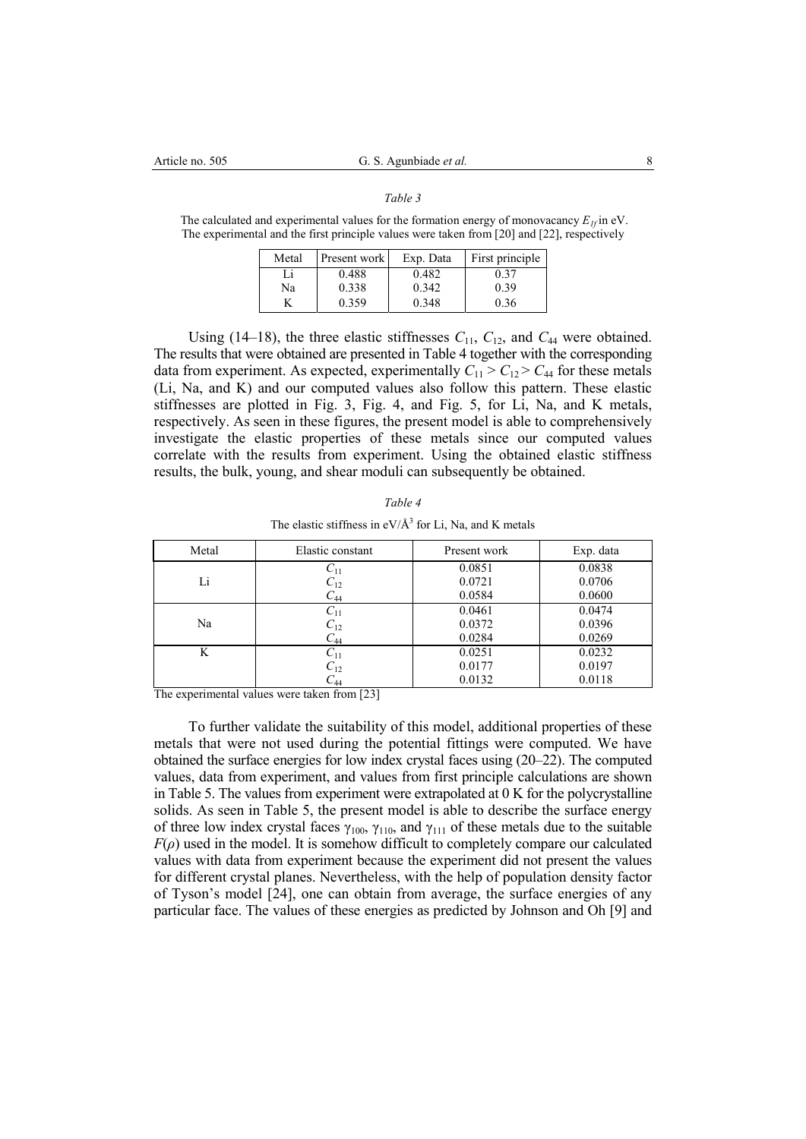### *Table 3*

The calculated and experimental values for the formation energy of monovacancy  $E_{1f}$  in eV. The experimental and the first principle values were taken from [20] and [22], respectively

| Metal | <b>Present</b> work | Exp. Data | First principle |
|-------|---------------------|-----------|-----------------|
| Li    | 0.488               | 0.482     | 0.37            |
| Na    | 0.338               | 0.342     | 0.39            |
|       | 0.359               | 0.348     | 0.36            |

Using (14–18), the three elastic stiffnesses  $C_{11}$ ,  $C_{12}$ , and  $C_{44}$  were obtained. The results that were obtained are presented in Table 4 together with the corresponding data from experiment. As expected, experimentally  $C_{11} > C_{12} > C_{44}$  for these metals (Li, Na, and K) and our computed values also follow this pattern. These elastic stiffnesses are plotted in Fig. 3, Fig. 4, and Fig. 5, for Li, Na, and K metals, respectively. As seen in these figures, the present model is able to comprehensively investigate the elastic properties of these metals since our computed values correlate with the results from experiment. Using the obtained elastic stiffness results, the bulk, young, and shear moduli can subsequently be obtained.

| Table 4                                                    |
|------------------------------------------------------------|
| The elastic stiffness in $eV/A^3$ for Li, Na, and K metals |

| Metal | Elastic constant | Present work | Exp. data |
|-------|------------------|--------------|-----------|
|       | $C_{11}$         | 0.0851       | 0.0838    |
| Li    | $C_{12}$         | 0.0721       | 0.0706    |
|       | $C_{44}$         | 0.0584       | 0.0600    |
|       | $C_{11}$         | 0.0461       | 0.0474    |
| Na    | $C_{12}$         | 0.0372       | 0.0396    |
|       | $C_{44}$         | 0.0284       | 0.0269    |
| K     | $C_{11}$         | 0.0251       | 0.0232    |
|       | $C_{12}$         | 0.0177       | 0.0197    |
|       | $C_{44}$         | 0.0132       | 0.0118    |

The experimental values were taken from [23]

To further validate the suitability of this model, additional properties of these metals that were not used during the potential fittings were computed. We have obtained the surface energies for low index crystal faces using (20–22). The computed values, data from experiment, and values from first principle calculations are shown in Table 5. The values from experiment were extrapolated at 0 K for the polycrystalline solids. As seen in Table 5, the present model is able to describe the surface energy of three low index crystal faces  $\gamma_{100}$ ,  $\gamma_{110}$ , and  $\gamma_{111}$  of these metals due to the suitable  $F(\rho)$  used in the model. It is somehow difficult to completely compare our calculated values with data from experiment because the experiment did not present the values for different crystal planes. Nevertheless, with the help of population density factor of Tyson's model [24], one can obtain from average, the surface energies of any particular face. The values of these energies as predicted by Johnson and Oh [9] and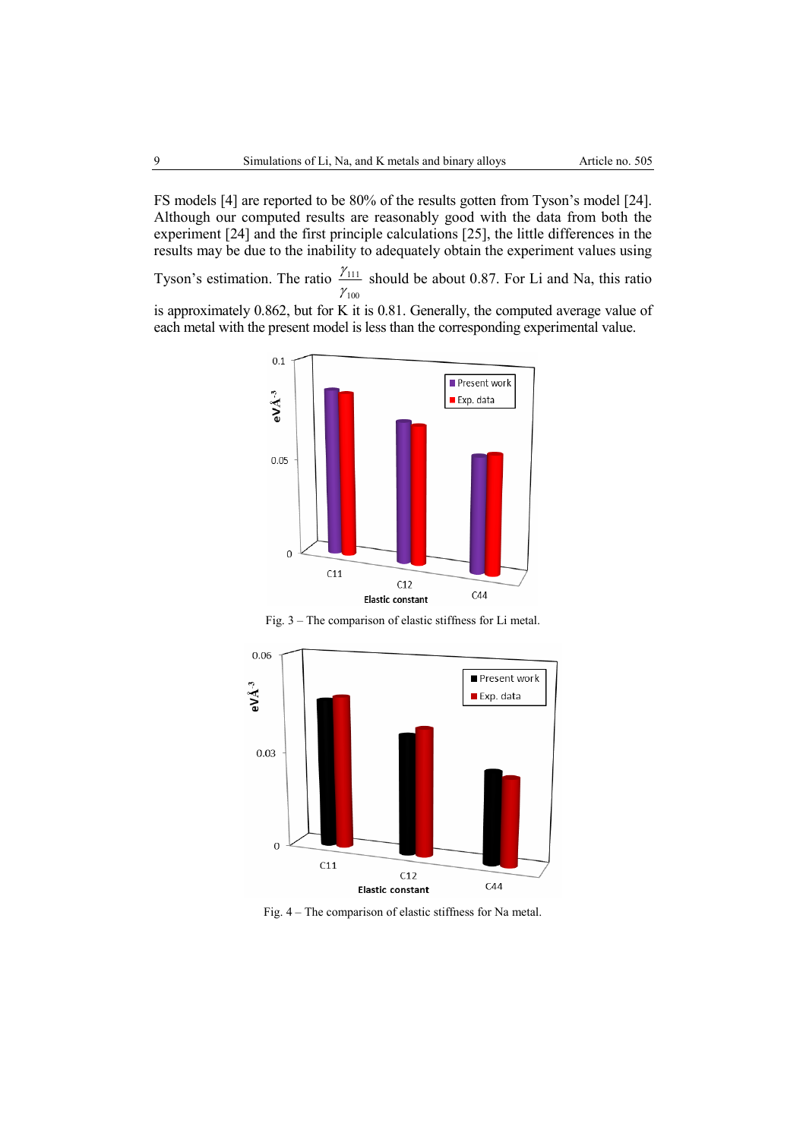FS models [4] are reported to be 80% of the results gotten from Tyson's model [24]. Although our computed results are reasonably good with the data from both the experiment [24] and the first principle calculations [25], the little differences in the results may be due to the inability to adequately obtain the experiment values using

Tyson's estimation. The ratio  $\frac{\gamma_{111}}{\gamma_{111}}$ 100 γ γ should be about 0.87. For Li and Na, this ratio

is approximately 0.862, but for K it is 0.81. Generally, the computed average value of each metal with the present model is less than the corresponding experimental value.



Fig. 3 – The comparison of elastic stiffness for Li metal.



Fig. 4 – The comparison of elastic stiffness for Na metal.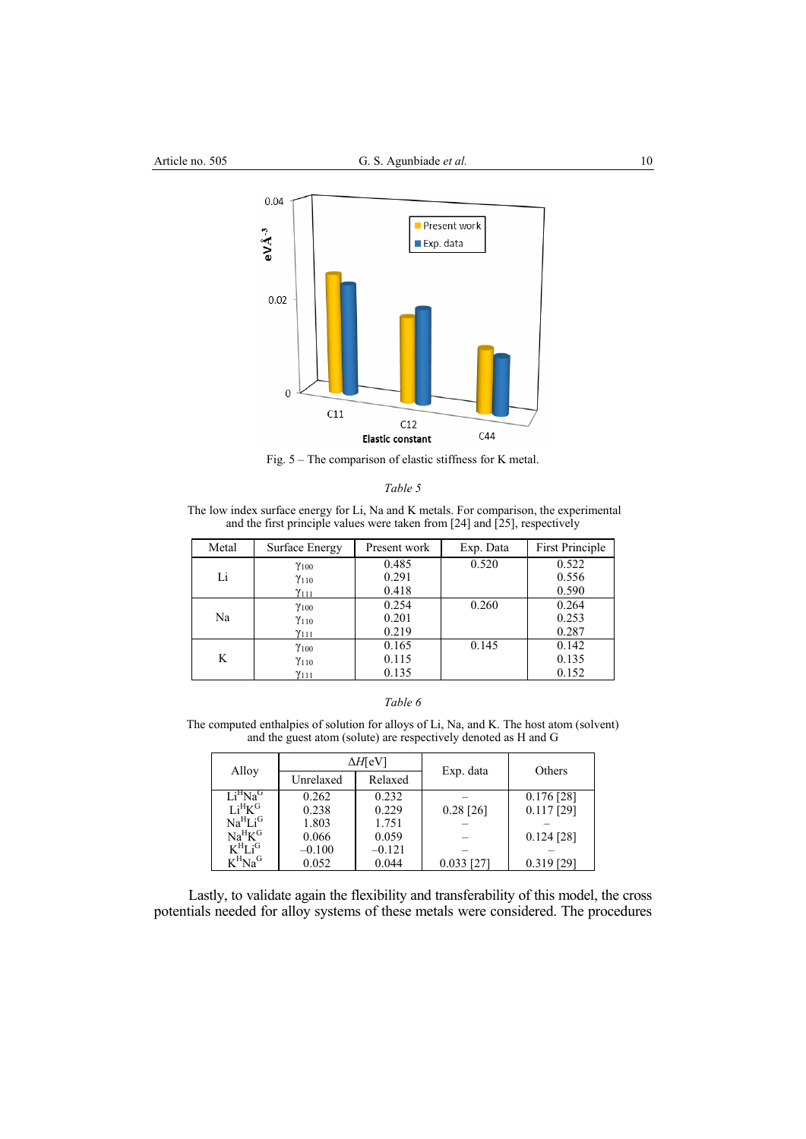

Fig. 5 – The comparison of elastic stiffness for K metal.

 The low index surface energy for Li, Na and K metals. For comparison, the experimental and the first principle values were taken from [24] and [25], respectively

| Metal | Surface Energy | Present work | Exp. Data | <b>First Principle</b> |
|-------|----------------|--------------|-----------|------------------------|
|       | $\gamma_{100}$ | 0.485        | 0.520     | 0.522                  |
| Li    | $\gamma_{110}$ | 0.291        |           | 0.556                  |
|       | $\gamma_{111}$ | 0.418        |           | 0.590                  |
|       | $\gamma_{100}$ | 0.254        | 0.260     | 0.264                  |
| Na    | $\gamma_{110}$ | 0.201        |           | 0.253                  |
|       | $\gamma_{111}$ | 0.219        |           | 0.287                  |
|       | $\gamma_{100}$ | 0.165        | 0.145     | 0.142                  |
| K     | $\gamma_{110}$ | 0.115        |           | 0.135                  |
|       | Y111           | 0.135        |           | 0.152                  |

The computed enthalpies of solution for alloys of Li, Na, and K. The host atom (solvent) and the guest atom (solute) are respectively denoted as H and G

| Alloy                           | ∆H[eV]    |                      |              | Others       |
|---------------------------------|-----------|----------------------|--------------|--------------|
|                                 | Unrelaxed | Exp. data<br>Relaxed |              |              |
| Li <sup>H</sup> Na <sup>G</sup> | 0.262     | 0.232                |              | $0.176$ [28] |
| Li <sup>H</sup> K <sup>G</sup>  | 0.238     | 0.229                | $0.28$ [26]  | $0.117$ [29] |
| Na <sup>H</sup> Li <sup>G</sup> | 1.803     | 1.751                |              |              |
| Na <sup>H</sup> K <sup>G</sup>  | 0.066     | 0.059                |              | $0.124$ [28] |
| $K^H L i^G$                     | $-0.100$  | $-0.121$             |              |              |
| $K^HNa^G$                       | 0.052     | 0.044                | $0.033$ [27] | $0.319$ [29] |

Lastly, to validate again the flexibility and transferability of this model, the cross potentials needed for alloy systems of these metals were considered. The procedures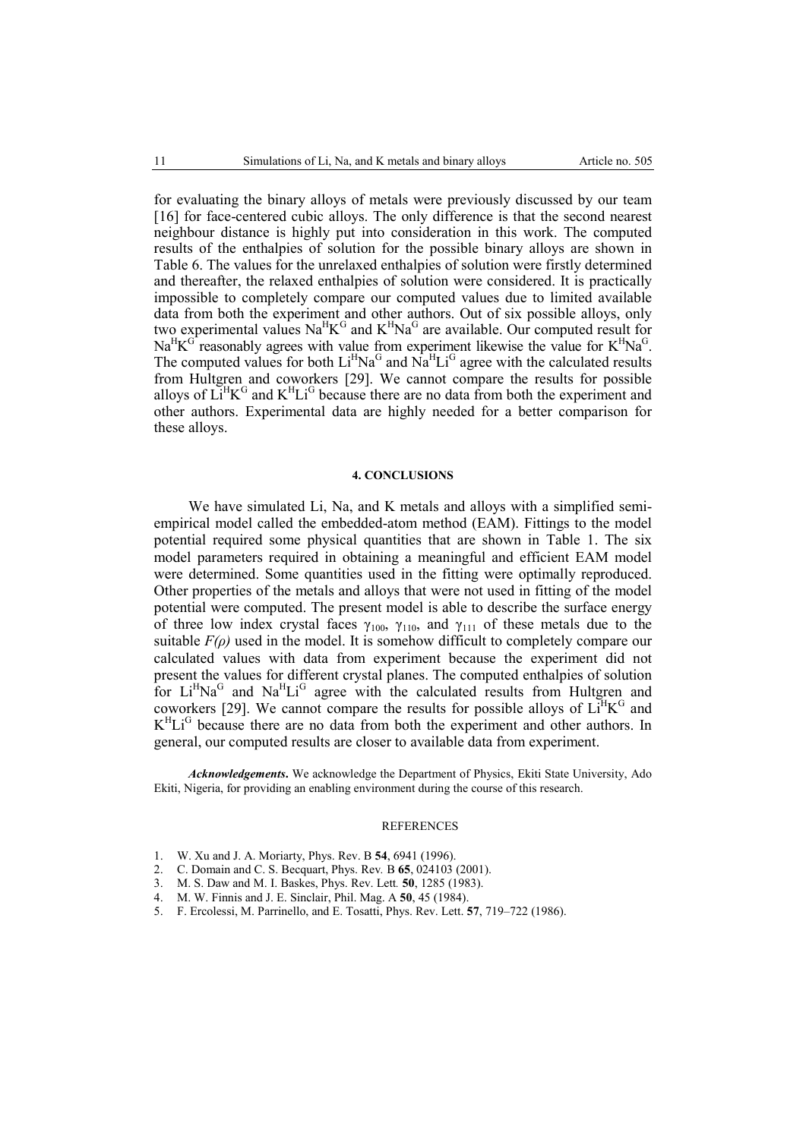for evaluating the binary alloys of metals were previously discussed by our team [16] for face-centered cubic alloys. The only difference is that the second nearest neighbour distance is highly put into consideration in this work. The computed results of the enthalpies of solution for the possible binary alloys are shown in Table 6. The values for the unrelaxed enthalpies of solution were firstly determined and thereafter, the relaxed enthalpies of solution were considered. It is practically impossible to completely compare our computed values due to limited available data from both the experiment and other authors. Out of six possible alloys, only two experimental values  $\text{Na}^{\text{H}}\text{K}^{\text{G}}$  and  $\text{K}^{\text{H}}\text{Na}^{\text{G}}$  are available. Our computed result for  $Na<sup>H</sup>K<sup>G</sup>$  reasonably agrees with value from experiment likewise the value for  $K<sup>H</sup>Na<sup>G</sup>$ . The computed values for both  $Li<sup>H</sup>Na<sup>G</sup>$  and  $Na<sup>H</sup>Li<sup>G</sup>$  agree with the calculated results from Hultgren and coworkers [29]. We cannot compare the results for possible alloys of  $\mathbf{L}^{\mathrm{H}}\mathbf{K}^{\mathrm{G}}$  and  $\mathbf{K}^{\mathrm{H}}\mathbf{L}^{\mathrm{G}}$  because there are no data from both the experiment and other authors. Experimental data are highly needed for a better comparison for these alloys.

### **4. CONCLUSIONS**

We have simulated Li, Na, and K metals and alloys with a simplified semiempirical model called the embedded-atom method (EAM). Fittings to the model potential required some physical quantities that are shown in Table 1. The six model parameters required in obtaining a meaningful and efficient EAM model were determined. Some quantities used in the fitting were optimally reproduced. Other properties of the metals and alloys that were not used in fitting of the model potential were computed. The present model is able to describe the surface energy of three low index crystal faces  $\gamma_{100}$ ,  $\gamma_{110}$ , and  $\gamma_{111}$  of these metals due to the suitable  $F(\rho)$  used in the model. It is somehow difficult to completely compare our calculated values with data from experiment because the experiment did not present the values for different crystal planes. The computed enthalpies of solution for  $Li<sup>H</sup>Na<sup>G</sup>$  and  $Na<sup>H</sup>Li<sup>G</sup>$  agree with the calculated results from Hultgren and coworkers [29]. We cannot compare the results for possible alloys of  $Li<sup>H</sup>K<sup>G</sup>$  and  $K^H L i^G$  because there are no data from both the experiment and other authors. In general, our computed results are closer to available data from experiment.

*Acknowledgements***.** We acknowledge the Department of Physics, Ekiti State University, Ado Ekiti, Nigeria, for providing an enabling environment during the course of this research.

### **REFERENCES**

- 1. W. Xu and J. A. Moriarty, Phys. Rev. B **54**, 6941 (1996).
- 2. C. Domain and C. S. Becquart, Phys. Rev*.* B **65**, 024103 (2001).
- 3. M. S. Daw and M. I. Baskes, Phys. Rev. Lett*.* **50**, 1285 (1983).
- 4. M. W. Finnis and J. E. Sinclair, Phil. Mag. A **50**, 45 (1984).
- 5. F. Ercolessi, M. Parrinello, and E. Tosatti, Phys. Rev. Lett. **57**, 719–722 (1986).